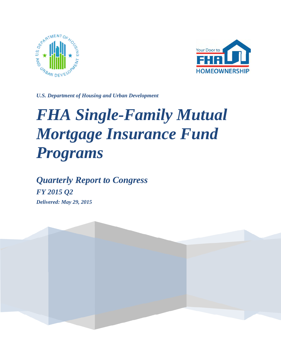



*U.S. Department of Housing and Urban Development*

# *FHA Single-Family Mutual Mortgage Insurance Fund Programs*

*Quarterly Report to Congress FY 2015 Q2 Delivered: May 29, 2015*

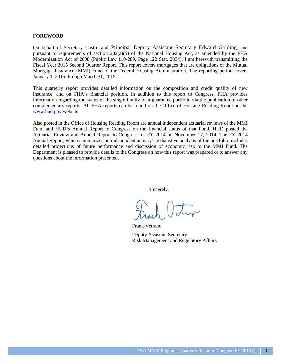#### **FOREWORD**

On behalf of Secretary Castro and Principal Deputy Assistant Secretary Edward Golding, and pursuant to requirements of section 202(a)(5) of the National Housing Act, as amended by the FHA Modernization Act of 2008 (Public Law 110-289, Page 122 Stat. 2834), I am herewith transmitting the Fiscal Year 2015 Second Quarter Report. This report covers mortgages that are obligations of the Mutual Mortgage Insurance (MMI) Fund of the Federal Housing Administration. The reporting period covers January 1, 2015 through March 31, 2015.

This quarterly report provides detailed information on the composition and credit quality of new insurance, and on FHA's financial position. In addition to this report to Congress, FHA provides information regarding the status of the single-family loan-guarantee portfolio via the publication of other complementary reports. All FHA reports can be found on the Office of Housing Reading Room on the [www.hud.gov](http://www.hud.gov/) website.

Also posted in the Office of Housing Reading Room are annual independent actuarial reviews of the MMI Fund and HUD's Annual Report to Congress on the financial status of that Fund. HUD posted the Actuarial Review and Annual Report to Congress for FY 2014 on November 17, 2014. The FY 2014 Annual Report, which summarizes an independent actuary's exhaustive analysis of the portfolio, includes detailed projections of future performance and discussion of economic risk to the MMI Fund. The Department is pleased to provide details to the Congress on how this report was prepared or to answer any questions about the information presented.

Sincerely,

Frank Vetrano Deputy Assistant Secretary Risk Management and Regulatory Affairs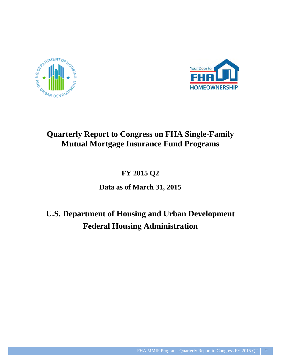



## **Quarterly Report to Congress on FHA Single-Family Mutual Mortgage Insurance Fund Programs**

**FY 2015 Q2**

**Data as of March 31, 2015**

# **U.S. Department of Housing and Urban Development Federal Housing Administration**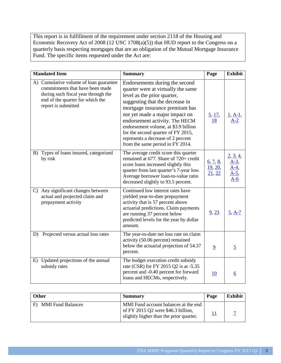This report is in fulfillment of the requirement under section 2118 of the Housing and Economic Recovery Act of 2008 (12 USC 1708(a)(5)) that HUD report to the Congress on a quarterly basis respecting mortgages that are an obligation of the Mutual Mortgage Insurance Fund. The specific items requested under the Act are:

|              | <b>Mandated Item</b>                                                                                                                                                        | <b>Summary</b>                                                                                                                                                                                                                                                                                                                                                                                       | Page                                      | <b>Exhibit</b>                                     |
|--------------|-----------------------------------------------------------------------------------------------------------------------------------------------------------------------------|------------------------------------------------------------------------------------------------------------------------------------------------------------------------------------------------------------------------------------------------------------------------------------------------------------------------------------------------------------------------------------------------------|-------------------------------------------|----------------------------------------------------|
|              | A) Cumulative volume of loan guarantee<br>commitments that have been made<br>during such fiscal year through the<br>end of the quarter for which the<br>report is submitted | Endorsements during the second<br>quarter were at virtually the same<br>level as the prior quarter,<br>suggesting that the decrease in<br>mortgage insurance premium has<br>not yet made a major impact on<br>endorsement activity. The HECM<br>endorsement volume, at \$3.9 billion<br>for the second quarter of FY 2015,<br>represents a decrease of 2 percent<br>from the same period in FY 2014. | $\frac{5}{2}, \frac{17}{2},$<br><u>18</u> | <u>1, A-1</u>                                      |
|              | B) Types of loans insured, categorized<br>by risk                                                                                                                           | The average credit score this quarter<br>remained at 677. Share of 720+ credit<br>score loans increased slightly this<br>quarter from last quarter's 7-year low.<br>Average borrower loan-to-value ratio<br>decreased slightly to 93.5 percent.                                                                                                                                                      | 6, 7, 8,<br>19, 20,<br>21, 22             | 2, 3, 4,<br><u>A-3,</u><br>$A-4$<br>$A-5$<br>$A-6$ |
| $\mathbf{C}$ | Any significant changes between<br>actual and projected claim and<br>prepayment activity                                                                                    | Continued low interest rates have<br>yielded year-to-date prepayment<br>activity that is 57 percent above<br>actuarial predictions. Claim payments<br>are running 37 percent below<br>predicted levels for the year by dollar<br>amount.                                                                                                                                                             | 9, 23                                     | $5, A-7$                                           |
| D)           | Projected versus actual loss rates                                                                                                                                          | The year-to-date net loss rate on claim<br>activity (50.06 percent) remained<br>below the actuarial projection of 54.37<br>percent.                                                                                                                                                                                                                                                                  | $\overline{9}$                            | $\overline{5}$                                     |
| E)           | Updated projections of the annual<br>subsidy rates                                                                                                                          | The budget execution credit subsidy<br>rate (CSR) for FY 2015 Q2 is at -5.35<br>percent and -0.40 percent for forward<br>loans and HECMs, respectively.                                                                                                                                                                                                                                              | <u>10</u>                                 | <u>6</u>                                           |

| <b>Other</b>                  | Summary                                                                                                               | Page | Exhibit |
|-------------------------------|-----------------------------------------------------------------------------------------------------------------------|------|---------|
| <b>MMI Fund Balances</b><br>F | MMI Fund account balances at the end<br>of FY 2015 Q2 were \$46.3 billion,<br>slightly higher than the prior quarter. |      |         |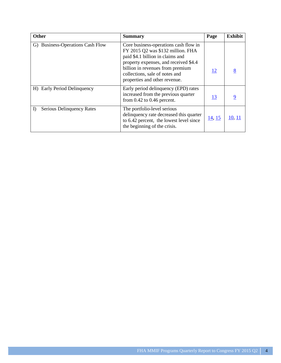| <b>Other</b>                     | <b>Summary</b>                                                                                                                                                                                                                                                 | Page      | <b>Exhibit</b> |
|----------------------------------|----------------------------------------------------------------------------------------------------------------------------------------------------------------------------------------------------------------------------------------------------------------|-----------|----------------|
| G) Business-Operations Cash Flow | Core business-operations cash flow in<br>FY 2015 Q2 was \$132 million. FHA<br>paid \$4.1 billion in claims and<br>property expenses, and received \$4.4<br>billion in revenues from premium<br>collections, sale of notes and<br>properties and other revenue. | <u>12</u> |                |
| H) Early Period Delinquency      | Early period delinquency (EPD) rates<br>increased from the previous quarter<br>from $0.42$ to $0.46$ percent.                                                                                                                                                  | <u>13</u> |                |
| Serious Delinquency Rates<br>I)  | The portfolio-level serious<br>delinquency rate decreased this quarter<br>to 6.42 percent, the lowest level since<br>the beginning of the crisis.                                                                                                              | 14, 15    | 10, 11         |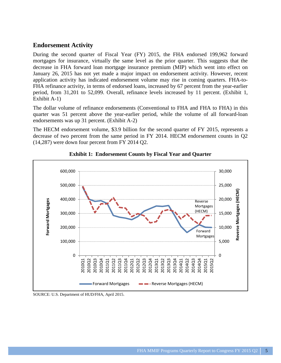## <span id="page-5-0"></span>**Endorsement Activity**

During the second quarter of Fiscal Year (FY) 2015, the FHA endorsed 199,962 forward mortgages for insurance, virtually the same level as the prior quarter. This suggests that the decrease in FHA forward loan mortgage insurance premium (MIP) which went into effect on January 26, 2015 has not yet made a major impact on endorsement activity. However, recent application activity has indicated endorsement volume may rise in coming quarters. FHA-to-FHA refinance activity, in terms of endorsed loans, increased by 67 percent from the year-earlier period, from 31,201 to 52,099. Overall, refinance levels increased by 11 percent. (Exhibit 1, Exhibit A-1)

The dollar volume of refinance endorsements (Conventional to FHA and FHA to FHA) in this quarter was 51 percent above the year-earlier period, while the volume of all forward-loan endorsements was up 31 percent. (Exhibit A-2)

The HECM endorsement volume, \$3.9 billion for the second quarter of FY 2015, represents a decrease of two percent from the same period in FY 2014. HECM endorsement counts in Q2 (14,287) were down four percent from FY 2014 Q2.



#### <span id="page-5-1"></span>**Exhibit 1: Endorsement Counts by Fiscal Year and Quarter**

SOURCE: U.S. Department of HUD/FHA, April 2015.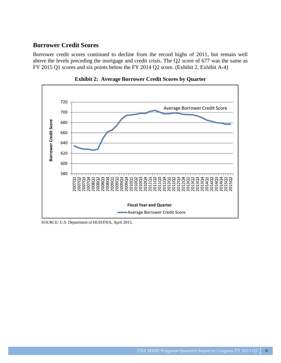## <span id="page-6-0"></span>**Borrower Credit Scores**

Borrower credit scores continued to decline from the record highs of 2011, but remain well above the levels preceding the mortgage and credit crisis. The Q2 score of 677 was the same as FY 2015 Q1 scores and six points below the FY 2014 Q2 score. (Exhibit 2, Exhibit A-4)



<span id="page-6-1"></span>**Exhibit 2: Average Borrower Credit Scores by Quarter**

SOURCE: U.S. Department of HUD/FHA, April 2015.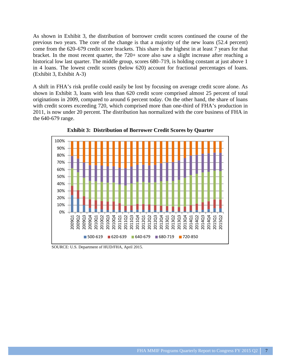<span id="page-7-0"></span>As shown in Exhibit 3, the distribution of borrower credit scores continued the course of the previous two years. The core of the change is that a majority of the new loans (52.4 percent) come from the 620–679 credit score brackets. This share is the highest in at least 7 years for that bracket. In the most recent quarter, the 720+ score also saw a slight increase after reaching a historical low last quarter. The middle group, scores 680–719, is holding constant at just above 1 in 4 loans. The lowest credit scores (below 620) account for fractional percentages of loans. (Exhibit 3, Exhibit A-3)

A shift in FHA's risk profile could easily be lost by focusing on average credit score alone. As shown in Exhibit 3, loans with less than 620 credit score comprised almost 25 percent of total originations in 2009, compared to around 6 percent today. On the other hand, the share of loans with credit scores exceeding 720, which comprised more than one-third of FHA's production in 2011, is now under 20 percent. The distribution has normalized with the core business of FHA in the 640-679 range.



<span id="page-7-1"></span>**Exhibit 3: Distribution of Borrower Credit Scores by Quarter**

SOURCE: U.S. Department of HUD/FHA, April 2015.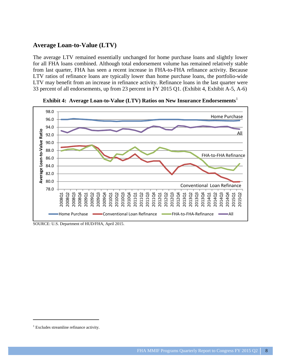## <span id="page-8-0"></span>**Average Loan-to-Value (LTV)**

The average LTV remained essentially unchanged for home purchase loans and slightly lower for all FHA loans combined. Although total endorsement volume has remained relatively stable from last quarter, FHA has seen a recent increase in FHA-to-FHA refinance activity. Because LTV ratios of refinance loans are typically lower than home purchase loans, the portfolio-wide LTV may benefit from an increase in refinance activity. Refinance loans in the last quarter were 33 percent of all endorsements, up from 23 percent in FY 2015 Q1. (Exhibit 4, Exhibit A-5, A-6)



<span id="page-8-1"></span>**Exhibit 4: Average Loan-to-Value (LTV) Ratios on New Insurance Endorsements** 

SOURCE: U.S. Department of HUD/FHA, April 2015.

<span id="page-8-2"></span><sup>&</sup>lt;sup>1</sup> Excludes streamline refinance activity.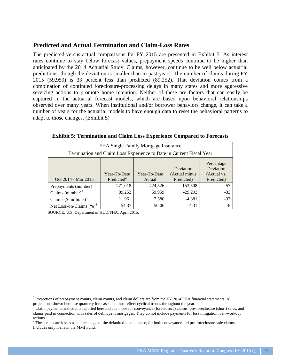## <span id="page-9-0"></span>**Predicted and Actual Termination and Claim-Loss Rates**

The predicted-versus-actual comparisons for FY 2015 are presented in Exhibit 5. As interest rates continue to stay below forecast values, prepayment speeds continue to be higher than anticipated by the 2014 Actuarial Study. Claims, however, continue to be well below actuarial predictions, though the deviation is smaller than in past years. The number of claims during FY 2015 (59,959) is 33 percent less than predicted (89,252). That deviation comes from a combination of continued foreclosure-processing delays in many states and more aggressive servicing actions to promote home retention. Neither of these are factors that can easily be captured in the actuarial forecast models, which are based upon behavioral relationships observed over many years. When institutional and/or borrower behaviors change, it can take a number of years for the actuarial models to have enough data to reset the behavioral patterns to adapt to those changes. (Exhibit 5)

| FHA Single-Family Mortgage Insurance<br>Termination and Claim Loss Experience to Date in Current Fiscal Year                                                                                |         |         |           |       |  |  |  |
|---------------------------------------------------------------------------------------------------------------------------------------------------------------------------------------------|---------|---------|-----------|-------|--|--|--|
| Percentage<br>Deviation<br>Deviation<br>(Actual minus<br>Year-To-Date<br>Year-To-Date<br>(Actual vs.<br>Predicted <sup>2</sup><br>Oct 2014 - Mar 2015<br>Predicted)<br>Predicted)<br>Actual |         |         |           |       |  |  |  |
| Prepayments (number)                                                                                                                                                                        | 271,018 | 424,526 | 153,508   | 57    |  |  |  |
| Claims (number) $3$                                                                                                                                                                         | 89,252  | 59,959  | $-29,293$ | $-33$ |  |  |  |
| Claims $(\$$ millions) <sup>3</sup>                                                                                                                                                         | 11,961  | 7,580   | $-4,381$  | $-37$ |  |  |  |
| Net Loss-on-Claims $(\%)^4$                                                                                                                                                                 | 54.37   | 50.06   | $-4.31$   | $-8$  |  |  |  |

<span id="page-9-1"></span>**Exhibit 5: Termination and Claim Loss Experience Compared to Forecasts**

<span id="page-9-2"></span><sup>&</sup>lt;sup>2</sup> Projections of prepayment counts, claim counts, and claim dollars are from the FY 2014 FHA financial statements. All projections shown here use quarterly forecasts and thus reflect cyclical trends throughout the year.

<span id="page-9-3"></span><sup>&</sup>lt;sup>3</sup> Claim payments and counts reported here include those for conveyance (foreclosure) claims, pre-foreclosure (short) sales, and claims paid in connection with sales of delinquent mortgages. They do not include payments for loss mitigation loan-workout actions.

<span id="page-9-4"></span><sup>&</sup>lt;sup>4</sup> These rates are losses as a percentage of the defaulted loan balance, for both conveyance and pre-foreclosure-sale claims. Includes only loans in the MMI Fund.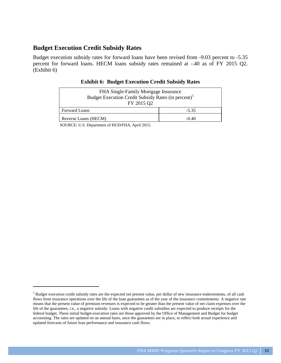## <span id="page-10-0"></span>**Budget Execution Credit Subsidy Rates**

Budget execution subsidy rates for forward loans have been revised from -9.03 percent to -5.35 percent for forward loans. HECM loans subsidy rates remained at -.40 as of FY 2015 Q2. (Exhibit 6)

| FHA Single-Family Mortgage Insurance<br>Budget Execution Credit Subsidy Rates (in percent) <sup>5</sup><br>FY 2015 Q2 |         |  |  |  |
|-----------------------------------------------------------------------------------------------------------------------|---------|--|--|--|
| Forward Loans                                                                                                         | $-5.35$ |  |  |  |
| Reverse Loans (HECM)                                                                                                  | $-0.40$ |  |  |  |

#### <span id="page-10-1"></span>**Exhibit 6: Budget Execution Credit Subsidy Rates**

<sup>&</sup>lt;sup>5</sup> Budget execution credit subsidy rates are the expected net present value, per dollar of new insurance endorsements, of all cash flows from insurance operations over the life of the loan guarantees as of the year of the insurance commitments. A negative rate means that the present value of premium revenues is expected to be greater than the present value of net claim expenses over the life of the guarantees, i.e., a negative subsidy. Loans with negative credit subsidies are expected to produce receipts for the federal budget. These initial budget-execution rates are those approved by the Office of Management and Budget for budget accounting. The rates are updated on an annual basis, once the guarantees are in place, to reflect both actual experience and updated forecasts of future loan performance and insurance cash flows.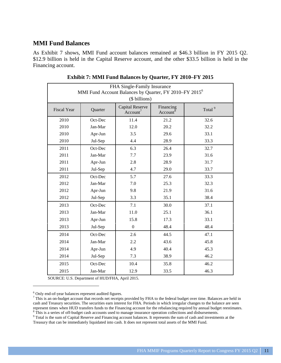## <span id="page-11-0"></span>**MMI Fund Balances**

As Exhibit 7 shows, MMI Fund account balances remained at \$46.3 billion in FY 2015 Q2. \$12.9 billion is held in the Capital Reserve account, and the other \$33.5 billion is held in the Financing account.

| FHA Single-Family Insurance<br>MMI Fund Account Balances by Quarter, FY 2010-FY 2015 <sup>6</sup><br>(\$ billions)                         |         |                  |      |      |  |  |  |
|--------------------------------------------------------------------------------------------------------------------------------------------|---------|------------------|------|------|--|--|--|
| <b>Capital Reserve</b><br>Financing<br>Total <sup>9</sup><br><b>Fiscal Year</b><br>Quarter<br>Account <sup>7</sup><br>Account <sup>8</sup> |         |                  |      |      |  |  |  |
| 2010                                                                                                                                       | Oct-Dec | 11.4             | 21.2 | 32.6 |  |  |  |
| 2010                                                                                                                                       | Jan-Mar | 12.0             | 20.2 | 32.2 |  |  |  |
| 2010                                                                                                                                       | Apr-Jun | 3.5              | 29.6 | 33.1 |  |  |  |
| 2010                                                                                                                                       | Jul-Sep | 4.4              | 28.9 | 33.3 |  |  |  |
| 2011                                                                                                                                       | Oct-Dec | 6.3              | 26.4 | 32.7 |  |  |  |
| 2011                                                                                                                                       | Jan-Mar | 7.7              | 23.9 | 31.6 |  |  |  |
| 2011                                                                                                                                       | Apr-Jun | 2.8              | 28.9 | 31.7 |  |  |  |
| 2011                                                                                                                                       | Jul-Sep | 4.7              | 29.0 | 33.7 |  |  |  |
| 2012                                                                                                                                       | Oct-Dec | 5.7              | 27.6 | 33.3 |  |  |  |
| 2012                                                                                                                                       | Jan-Mar | 7.0              | 25.3 | 32.3 |  |  |  |
| 2012                                                                                                                                       | Apr-Jun | 9.8              | 21.9 | 31.6 |  |  |  |
| 2012                                                                                                                                       | Jul-Sep | 3.3              | 35.1 | 38.4 |  |  |  |
| 2013                                                                                                                                       | Oct-Dec | 7.1              | 30.0 | 37.1 |  |  |  |
| 2013                                                                                                                                       | Jan-Mar | 11.0             | 25.1 | 36.1 |  |  |  |
| 2013                                                                                                                                       | Apr-Jun | 15.8             | 17.3 | 33.1 |  |  |  |
| 2013                                                                                                                                       | Jul-Sep | $\boldsymbol{0}$ | 48.4 | 48.4 |  |  |  |
| 2014                                                                                                                                       | Oct-Dec | 2.6              | 44.5 | 47.1 |  |  |  |
| 2014                                                                                                                                       | Jan-Mar | 2.2              | 43.6 | 45.8 |  |  |  |
| 2014                                                                                                                                       | Apr-Jun | 4.9              | 40.4 | 45.3 |  |  |  |
| 2014                                                                                                                                       | Jul-Sep | 7.3              | 38.9 | 46.2 |  |  |  |
| 2015                                                                                                                                       | Oct-Dec | 10.4             | 35.8 | 46.2 |  |  |  |
| 2015                                                                                                                                       | Jan-Mar | 12.9             | 33.5 | 46.3 |  |  |  |

<span id="page-11-1"></span>**Exhibit 7: MMI Fund Balances by Quarter, FY 2010–FY 2015**

<span id="page-11-2"></span>Only end-of-year balances represent audited figures.

 This is an on-budget account that records net receipts provided by FHA to the federal budget over time. Balances are held in cash and Treasury securities. The securities earn interest for FHA. Periods in which irregular changes to the balance are seen represent times when HUD transfers funds to the Financing account for the rebalancing required by annual budget reestimates. This is a series of off-budget cash accounts used to manage insurance operation collections and disbursements.

<span id="page-11-4"></span><span id="page-11-3"></span> Total is the sum of Capital Reserve and Financing account balances. It represents the sum of cash and investments at the Treasury that can be immediately liquidated into cash. It does not represent total assets of the MMI Fund.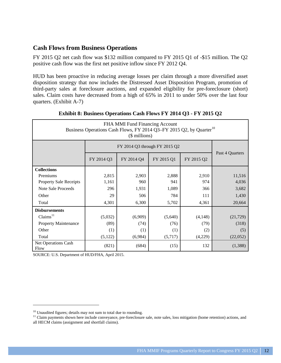## <span id="page-12-0"></span>**Cash Flows from Business Operations**

FY 2015 Q2 net cash flow was \$132 million compared to FY 2015 Q1 of -\$15 million. The Q2 positive cash flow was the first net positive inflow since FY 2012 Q4.

HUD has been proactive in reducing average losses per claim through a more diversified asset disposition strategy that now includes the Distressed Asset Disposition Program, promotion of third-party sales at foreclosure auctions, and expanded eligibility for pre-foreclosure (short) sales. Claim costs have decreased from a high of 65% in 2011 to under 50% over the last four quarters. (Exhibit A-7)

| FHA MMI Fund Financing Account<br>Business Operations Cash Flows, FY 2014 Q3-FY 2015 Q2, by Quarter <sup>10</sup><br>$($$ millions) |            |            |            |            |                 |  |  |
|-------------------------------------------------------------------------------------------------------------------------------------|------------|------------|------------|------------|-----------------|--|--|
|                                                                                                                                     |            |            |            |            |                 |  |  |
|                                                                                                                                     | FY 2014 Q3 | FY 2014 Q4 | FY 2015 Q1 | FY 2015 Q2 | Past 4 Quarters |  |  |
| <b>Collections</b>                                                                                                                  |            |            |            |            |                 |  |  |
| Premiums                                                                                                                            | 2,815      | 2,903      | 2,888      | 2,910      | 11,516          |  |  |
| <b>Property Sale Receipts</b>                                                                                                       | 1,161      | 960        | 941        | 974        | 4,036           |  |  |
| Note Sale Proceeds                                                                                                                  | 296        | 1,931      | 1,089      | 366        | 3,682           |  |  |
| Other                                                                                                                               | 29         | 506        | 784        | 111        | 1,430           |  |  |
| Total                                                                                                                               | 4,301      | 6,300      | 5,702      | 4,361      | 20,664          |  |  |
| <b>Disbursements</b>                                                                                                                |            |            |            |            |                 |  |  |
| Claims <sup>11</sup>                                                                                                                | (5,032)    | (6,909)    | (5,640)    | (4,148)    | (21, 729)       |  |  |
| <b>Property Maintenance</b>                                                                                                         | (89)       | (74)       | (76)       | (79)       | (318)           |  |  |
| Other                                                                                                                               | (1)        | (1)        | (1)        | (2)        | (5)             |  |  |
| Total                                                                                                                               | (5, 122)   | (6,984)    | (5,717)    | (4,229)    | (22,052)        |  |  |
| Net Operations Cash<br>Flow                                                                                                         | (821)      | (684)      | (15)       | 132        | (1,388)         |  |  |

<span id="page-12-1"></span>

| Exhibit 8: Business Operations Cash Flows FY 2014 Q3 - FY 2015 Q2 |  |  |  |
|-------------------------------------------------------------------|--|--|--|

<sup>&</sup>lt;sup>10</sup> Unaudited figures; details may not sum to total due to rounding.

<span id="page-12-2"></span><sup>&</sup>lt;sup>11</sup> Claim payments shown here include conveyance, pre-foreclosure sale, note sales, loss mitigation (home retention) actions, and all HECM claims (assignment and shortfall claims).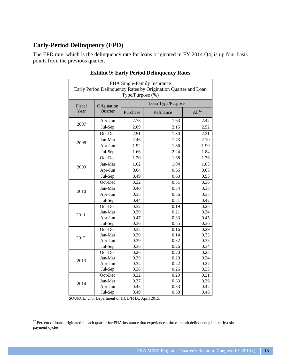## <span id="page-13-0"></span>**Early-Period Delinquency (EPD)**

The EPD rate, which is the delinquency rate for loans originated in FY 2014 Q4, is up four basis points from the previous quarter.

| Loan Type/Purpose<br>Fiscal<br>Origination<br>Year<br>Quarter<br>All <sup>12</sup><br>Purchase<br>Refinance<br>2.78<br>1.63<br>2.42<br>Apr-Jun<br>2007<br>2.69<br>2.15<br>Jul-Sep<br>2.52<br>2.51<br>1.80<br>Oct-Dec<br>2.21<br>Jan-Mar<br>2.46<br>1.73<br>2.10<br>2008<br>1.86<br>Apr-Jun<br>1.92<br>1.90<br>1.66<br>2.24<br>1.84<br>Jul-Sep<br>Oct-Dec<br>1.20<br>1.68<br>1.36<br>Jan-Mar<br>1.02<br>1.04<br>1.03<br>2009<br>Apr-Jun<br>0.64<br>0.66<br>0.65<br>0.63<br>0.53<br>Jul-Sep<br>0.49<br>Oct-Dec<br>0.32<br>0.51<br>0.36<br>Jan-Mar<br>0.40<br>0.34<br>0.38<br>2010<br>0.35<br>0.36<br>0.35<br>Apr-Jun<br>Jul-Sep<br>0.44<br>0.31<br>0.42<br>Oct-Dec<br>0.32<br>0.19<br>0.28<br>Jan-Mar<br>0.21<br>0.34<br>0.39<br>2011<br>0.47<br>0.33<br>0.45<br>Apr-Jun<br>0.35<br>0.36<br>0.36<br>Jul-Sep<br>Oct-Dec<br>0.33<br>0.16<br>0.29<br>Jan-Mar<br>0.39<br>0.14<br>0.33<br>2012<br>0.39<br>0.32<br>0.35<br>Apr-Jun<br>Jul-Sep<br>0.36<br>0.26<br>0.34<br>Oct-Dec<br>0.26<br>0.20<br>0.23<br>Jan-Mar<br>0.20<br>0.24<br>0.29<br>2013<br>0.22<br>0.27<br>Apr-Jun<br>0.32<br>Jul-Sep<br>0.36<br>0.26<br>0.33<br>Oct-Dec<br>0.32<br>0.29<br>0.31<br>Jan-Mar<br>0.33<br>0.37<br>0.36<br>2014<br>0.45<br>0.33<br>0.42<br>Apr-Jun<br>0.49<br>0.38<br>Jul-Sep<br>0.46 | FHA Single-Family Insurance<br>Early Period Delinquency Rates by Origination Quarter and Loan<br>Type/Purpose (%) |  |  |  |  |  |  |
|-----------------------------------------------------------------------------------------------------------------------------------------------------------------------------------------------------------------------------------------------------------------------------------------------------------------------------------------------------------------------------------------------------------------------------------------------------------------------------------------------------------------------------------------------------------------------------------------------------------------------------------------------------------------------------------------------------------------------------------------------------------------------------------------------------------------------------------------------------------------------------------------------------------------------------------------------------------------------------------------------------------------------------------------------------------------------------------------------------------------------------------------------------------------------------------------------------------------------------------------------------------------------|-------------------------------------------------------------------------------------------------------------------|--|--|--|--|--|--|
|                                                                                                                                                                                                                                                                                                                                                                                                                                                                                                                                                                                                                                                                                                                                                                                                                                                                                                                                                                                                                                                                                                                                                                                                                                                                       |                                                                                                                   |  |  |  |  |  |  |
|                                                                                                                                                                                                                                                                                                                                                                                                                                                                                                                                                                                                                                                                                                                                                                                                                                                                                                                                                                                                                                                                                                                                                                                                                                                                       |                                                                                                                   |  |  |  |  |  |  |
|                                                                                                                                                                                                                                                                                                                                                                                                                                                                                                                                                                                                                                                                                                                                                                                                                                                                                                                                                                                                                                                                                                                                                                                                                                                                       |                                                                                                                   |  |  |  |  |  |  |
|                                                                                                                                                                                                                                                                                                                                                                                                                                                                                                                                                                                                                                                                                                                                                                                                                                                                                                                                                                                                                                                                                                                                                                                                                                                                       |                                                                                                                   |  |  |  |  |  |  |
|                                                                                                                                                                                                                                                                                                                                                                                                                                                                                                                                                                                                                                                                                                                                                                                                                                                                                                                                                                                                                                                                                                                                                                                                                                                                       |                                                                                                                   |  |  |  |  |  |  |
|                                                                                                                                                                                                                                                                                                                                                                                                                                                                                                                                                                                                                                                                                                                                                                                                                                                                                                                                                                                                                                                                                                                                                                                                                                                                       |                                                                                                                   |  |  |  |  |  |  |
|                                                                                                                                                                                                                                                                                                                                                                                                                                                                                                                                                                                                                                                                                                                                                                                                                                                                                                                                                                                                                                                                                                                                                                                                                                                                       |                                                                                                                   |  |  |  |  |  |  |
|                                                                                                                                                                                                                                                                                                                                                                                                                                                                                                                                                                                                                                                                                                                                                                                                                                                                                                                                                                                                                                                                                                                                                                                                                                                                       |                                                                                                                   |  |  |  |  |  |  |
|                                                                                                                                                                                                                                                                                                                                                                                                                                                                                                                                                                                                                                                                                                                                                                                                                                                                                                                                                                                                                                                                                                                                                                                                                                                                       |                                                                                                                   |  |  |  |  |  |  |
|                                                                                                                                                                                                                                                                                                                                                                                                                                                                                                                                                                                                                                                                                                                                                                                                                                                                                                                                                                                                                                                                                                                                                                                                                                                                       |                                                                                                                   |  |  |  |  |  |  |
|                                                                                                                                                                                                                                                                                                                                                                                                                                                                                                                                                                                                                                                                                                                                                                                                                                                                                                                                                                                                                                                                                                                                                                                                                                                                       |                                                                                                                   |  |  |  |  |  |  |
|                                                                                                                                                                                                                                                                                                                                                                                                                                                                                                                                                                                                                                                                                                                                                                                                                                                                                                                                                                                                                                                                                                                                                                                                                                                                       |                                                                                                                   |  |  |  |  |  |  |
|                                                                                                                                                                                                                                                                                                                                                                                                                                                                                                                                                                                                                                                                                                                                                                                                                                                                                                                                                                                                                                                                                                                                                                                                                                                                       |                                                                                                                   |  |  |  |  |  |  |
|                                                                                                                                                                                                                                                                                                                                                                                                                                                                                                                                                                                                                                                                                                                                                                                                                                                                                                                                                                                                                                                                                                                                                                                                                                                                       |                                                                                                                   |  |  |  |  |  |  |
|                                                                                                                                                                                                                                                                                                                                                                                                                                                                                                                                                                                                                                                                                                                                                                                                                                                                                                                                                                                                                                                                                                                                                                                                                                                                       |                                                                                                                   |  |  |  |  |  |  |
|                                                                                                                                                                                                                                                                                                                                                                                                                                                                                                                                                                                                                                                                                                                                                                                                                                                                                                                                                                                                                                                                                                                                                                                                                                                                       |                                                                                                                   |  |  |  |  |  |  |
|                                                                                                                                                                                                                                                                                                                                                                                                                                                                                                                                                                                                                                                                                                                                                                                                                                                                                                                                                                                                                                                                                                                                                                                                                                                                       |                                                                                                                   |  |  |  |  |  |  |
|                                                                                                                                                                                                                                                                                                                                                                                                                                                                                                                                                                                                                                                                                                                                                                                                                                                                                                                                                                                                                                                                                                                                                                                                                                                                       |                                                                                                                   |  |  |  |  |  |  |
|                                                                                                                                                                                                                                                                                                                                                                                                                                                                                                                                                                                                                                                                                                                                                                                                                                                                                                                                                                                                                                                                                                                                                                                                                                                                       |                                                                                                                   |  |  |  |  |  |  |
|                                                                                                                                                                                                                                                                                                                                                                                                                                                                                                                                                                                                                                                                                                                                                                                                                                                                                                                                                                                                                                                                                                                                                                                                                                                                       |                                                                                                                   |  |  |  |  |  |  |
|                                                                                                                                                                                                                                                                                                                                                                                                                                                                                                                                                                                                                                                                                                                                                                                                                                                                                                                                                                                                                                                                                                                                                                                                                                                                       |                                                                                                                   |  |  |  |  |  |  |
|                                                                                                                                                                                                                                                                                                                                                                                                                                                                                                                                                                                                                                                                                                                                                                                                                                                                                                                                                                                                                                                                                                                                                                                                                                                                       |                                                                                                                   |  |  |  |  |  |  |
|                                                                                                                                                                                                                                                                                                                                                                                                                                                                                                                                                                                                                                                                                                                                                                                                                                                                                                                                                                                                                                                                                                                                                                                                                                                                       |                                                                                                                   |  |  |  |  |  |  |
|                                                                                                                                                                                                                                                                                                                                                                                                                                                                                                                                                                                                                                                                                                                                                                                                                                                                                                                                                                                                                                                                                                                                                                                                                                                                       |                                                                                                                   |  |  |  |  |  |  |
|                                                                                                                                                                                                                                                                                                                                                                                                                                                                                                                                                                                                                                                                                                                                                                                                                                                                                                                                                                                                                                                                                                                                                                                                                                                                       |                                                                                                                   |  |  |  |  |  |  |
|                                                                                                                                                                                                                                                                                                                                                                                                                                                                                                                                                                                                                                                                                                                                                                                                                                                                                                                                                                                                                                                                                                                                                                                                                                                                       |                                                                                                                   |  |  |  |  |  |  |
|                                                                                                                                                                                                                                                                                                                                                                                                                                                                                                                                                                                                                                                                                                                                                                                                                                                                                                                                                                                                                                                                                                                                                                                                                                                                       |                                                                                                                   |  |  |  |  |  |  |
|                                                                                                                                                                                                                                                                                                                                                                                                                                                                                                                                                                                                                                                                                                                                                                                                                                                                                                                                                                                                                                                                                                                                                                                                                                                                       |                                                                                                                   |  |  |  |  |  |  |
|                                                                                                                                                                                                                                                                                                                                                                                                                                                                                                                                                                                                                                                                                                                                                                                                                                                                                                                                                                                                                                                                                                                                                                                                                                                                       |                                                                                                                   |  |  |  |  |  |  |
|                                                                                                                                                                                                                                                                                                                                                                                                                                                                                                                                                                                                                                                                                                                                                                                                                                                                                                                                                                                                                                                                                                                                                                                                                                                                       |                                                                                                                   |  |  |  |  |  |  |
|                                                                                                                                                                                                                                                                                                                                                                                                                                                                                                                                                                                                                                                                                                                                                                                                                                                                                                                                                                                                                                                                                                                                                                                                                                                                       |                                                                                                                   |  |  |  |  |  |  |

#### <span id="page-13-1"></span>**Exhibit 9: Early Period Delinquency Rates**

<span id="page-13-2"></span><sup>&</sup>lt;sup>12</sup> Percent of loans originated in each quarter for FHA insurance that experience a three-month delinquency in the first six payment cycles.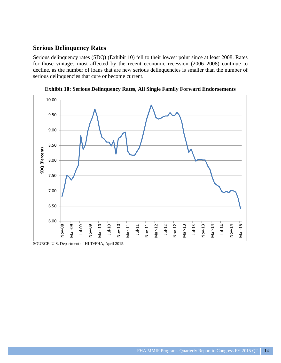### <span id="page-14-0"></span>**Serious Delinquency Rates**

Serious delinquency rates (SDQ) (Exhibit 10) fell to their lowest point since at least 2008. Rates for those vintages most affected by the recent economic recession (2006–2008) continue to decline, as the number of loans that are new serious delinquencies is smaller than the number of serious delinquencies that cure or become current.



<span id="page-14-1"></span>**Exhibit 10: Serious Delinquency Rates, All Single Family Forward Endorsements**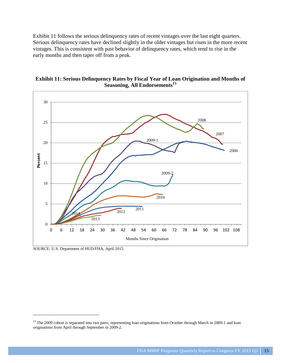<span id="page-15-0"></span>Exhibit 11 follows the serious delinquency rates of recent vintages over the last eight quarters. Serious delinquency rates have declined slightly in the older vintages but risen in the more recent vintages. This is consistent with past behavior of delinquency rates, which tend to rise in the early months and then taper off from a peak.



<span id="page-15-1"></span>**Exhibit 11: Serious Delinquency Rates by Fiscal Year of Loan Origination and Months of Seasoning, All Endorsements[13](#page-15-2)**

SOURCE: U.S. Department of HUD/FHA, April 2015.

<span id="page-15-2"></span><sup>&</sup>lt;sup>13</sup> The 2009 cohort is separated into two parts, representing loan originations from October through March in 2009-1 and loan originations from April through September in 2009-2.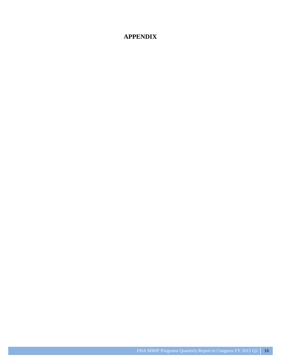## **APPENDIX**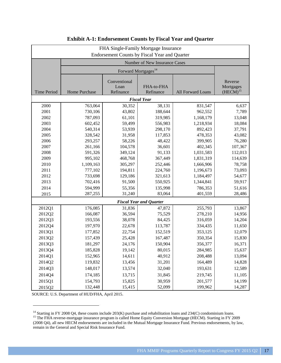| FHA Single-Family Mortgage Insurance<br><b>Endorsement Counts by Fiscal Year and Quarter</b> |                                                                                                           |         |                                 |           |         |  |  |  |
|----------------------------------------------------------------------------------------------|-----------------------------------------------------------------------------------------------------------|---------|---------------------------------|-----------|---------|--|--|--|
|                                                                                              |                                                                                                           |         | Number of New Insurance Cases   |           |         |  |  |  |
|                                                                                              |                                                                                                           |         | Forward Mortgages <sup>14</sup> |           |         |  |  |  |
| <b>Time Period</b>                                                                           | Conventional<br>FHA-to-FHA<br>Loan<br>Refinance<br>Refinance<br><b>Home Purchase</b><br>All Forward Loans |         |                                 |           |         |  |  |  |
|                                                                                              |                                                                                                           |         | <b>Fiscal Year</b>              |           |         |  |  |  |
| 2000                                                                                         | 763,064                                                                                                   | 30,352  | 38,131                          | 831,547   | 6,637   |  |  |  |
| 2001                                                                                         | 730,106                                                                                                   | 43,802  | 188,644                         | 962,552   | 7,789   |  |  |  |
| 2002                                                                                         | 787,093                                                                                                   | 61,101  | 319,985                         | 1,168,179 | 13,048  |  |  |  |
| 2003                                                                                         | 602,452                                                                                                   | 59,499  | 556,983                         | 1,218,934 | 18,084  |  |  |  |
| 2004                                                                                         | 540,314                                                                                                   | 53,939  | 298,170                         | 892,423   | 37,791  |  |  |  |
| 2005                                                                                         | 328,542                                                                                                   | 31,958  | 117,853                         | 478,353   | 43,082  |  |  |  |
| 2006                                                                                         | 293,257                                                                                                   | 58,226  | 48,422                          | 399,905   | 76,280  |  |  |  |
| 2007                                                                                         | 261,166                                                                                                   | 104,578 | 36,601                          | 402,345   | 107,367 |  |  |  |
| 2008                                                                                         | 591,326                                                                                                   | 349,124 | 91,133                          | 1,031,583 | 112,013 |  |  |  |
| 2009                                                                                         | 995,102                                                                                                   | 468,768 | 367,449                         | 1,831,319 | 114,639 |  |  |  |
| 2010                                                                                         | 1,109,163                                                                                                 | 305,297 | 252,446                         | 1,666,906 | 78,758  |  |  |  |
| 2011                                                                                         | 777,102                                                                                                   | 194,811 | 224,760                         | 1,196,673 | 73,093  |  |  |  |
| 2012                                                                                         | 733,698                                                                                                   | 129,186 | 321,613                         | 1,184,497 | 54,677  |  |  |  |
| 2013                                                                                         | 702,416                                                                                                   | 91,500  | 550,925                         | 1,344,841 | 59,917  |  |  |  |
| 2014                                                                                         | 594,999                                                                                                   | 55,356  | 135,998                         | 786,353   | 51,616  |  |  |  |
| 2015                                                                                         | 287,255                                                                                                   | 31,240  | 83,064                          | 401,559   | 28,486  |  |  |  |
|                                                                                              |                                                                                                           |         | <b>Fiscal Year and Quarter</b>  |           |         |  |  |  |
| 2012Q1                                                                                       | 176,085                                                                                                   | 31,836  | 47,872                          | 255,793   | 13,867  |  |  |  |
| 2012Q2                                                                                       | 166,087                                                                                                   | 36,594  | 75,529                          | 278,210   | 14,956  |  |  |  |
| 2012Q3                                                                                       | 193,556                                                                                                   | 38,078  | 84,425                          | 316,059   | 14,204  |  |  |  |
| 2012Q4                                                                                       | 197,970                                                                                                   | 22,678  | 113,787                         | 334,435   | 11,650  |  |  |  |
| 2013Q1                                                                                       | 177,852                                                                                                   | 22,754  | 152,519                         | 353,125   | 12,079  |  |  |  |
| 2013Q2                                                                                       | 157,439                                                                                                   | 25,428  | 167,487                         | 350,354   | 15,830  |  |  |  |
| 2013Q3                                                                                       | 181,297                                                                                                   | 24,176  | 150,904                         | 356,377   | 16,371  |  |  |  |
| 2013Q4                                                                                       | 185,828                                                                                                   | 19,142  | 80,015                          | 284,985   | 15,637  |  |  |  |
| 2014Q1                                                                                       | 152,965                                                                                                   | 14,611  | 40,912                          | 208,488   | 13,094  |  |  |  |
| 2014Q2                                                                                       | 119,832                                                                                                   | 13,456  | 31,201                          | 164,489   | 14,828  |  |  |  |
| 2014Q3                                                                                       | 148,017                                                                                                   | 13,574  | 32,040                          | 193,631   | 12,589  |  |  |  |
| 2014Q4                                                                                       | 174,185                                                                                                   | 13,715  | 31,845                          | 219,745   | 11,105  |  |  |  |
| 2015Q1                                                                                       | 154,793                                                                                                   | 15,825  | 30,959                          | 201,577   | 14,199  |  |  |  |
| 2015Q2                                                                                       | 132,448                                                                                                   | 15,415  | 52,099                          | 199,962   | 14,287  |  |  |  |

#### <span id="page-17-0"></span>**Exhibit A-1: Endorsement Counts by Fiscal Year and Quarter**

<span id="page-17-1"></span><sup>&</sup>lt;sup>14</sup> Starting in FY 2008 Q4, these counts include 203(K) purchase and rehabilitation loans and 234(C) condominium loans.

<span id="page-17-2"></span><sup>&</sup>lt;sup>15</sup> The FHA reverse-mortgage insurance program is called Home Equity Conversion Mortgage (HECM). Starting in FY 2009 (2008 Q4), all new HECM endorsements are included in the Mutual Mortgage Insurance Fund. Previous endorsements, by law, remain in the General and Special Risk Insurance Fund.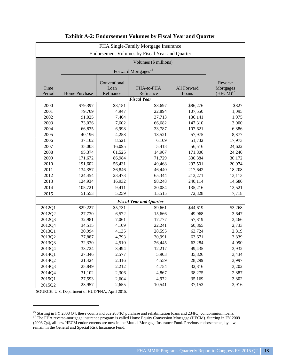|                | FHA Single-Family Mortgage Insurance           |                   |                                 |                      |                            |  |  |  |  |
|----------------|------------------------------------------------|-------------------|---------------------------------|----------------------|----------------------------|--|--|--|--|
|                | Endorsement Volumes by Fiscal Year and Quarter |                   |                                 |                      |                            |  |  |  |  |
|                |                                                |                   | Volumes (\$ millions)           |                      |                            |  |  |  |  |
|                |                                                |                   | Forward Mortgages <sup>16</sup> |                      |                            |  |  |  |  |
|                |                                                |                   |                                 |                      |                            |  |  |  |  |
|                |                                                | Conventional      |                                 |                      | Reverse                    |  |  |  |  |
| Time<br>Period | Home Purchase                                  | Loan<br>Refinance | FHA-to-FHA<br>Refinance         | All Forward<br>Loans | Mortgages<br>$(HECM)^{17}$ |  |  |  |  |
|                |                                                |                   | <b>Fiscal Year</b>              |                      |                            |  |  |  |  |
| 2000           | \$79,397                                       | \$3,181           | \$3,697                         | \$86,276             | \$827                      |  |  |  |  |
| 2001           | 79,709                                         | 4,947             | 22,894                          | 107,550              | 1,095                      |  |  |  |  |
| 2002           | 91,025                                         | 7,404             | 37,713                          | 136,141              | 1,975                      |  |  |  |  |
| 2003           | 73,026                                         | 7,602             | 66,682                          | 147,310              | 3,000                      |  |  |  |  |
| 2004           | 66,835                                         | 6,998             | 33,787                          | 107,621              | 6,886                      |  |  |  |  |
| 2005           | 40,196                                         | 4,258             | 13,521                          | 57,975               | 8,877                      |  |  |  |  |
| 2006           | 37,102                                         | 8,521             | 6,109                           | 51,732               | 17,973                     |  |  |  |  |
| 2007           | 35,003                                         | 16,095            | 5,418                           | 56,516               | 24,622                     |  |  |  |  |
| 2008           | 95,374                                         | 61,525            | 14,907                          | 171,806              | 24,240                     |  |  |  |  |
| 2009           | 171,672                                        | 86,984            | 71,729                          | 330,384              | 30,172                     |  |  |  |  |
| 2010           | 191,602                                        | 56,431            | 49,468                          | 297,501              | 20,974                     |  |  |  |  |
| 2011           | 134,357                                        | 36,846            | 46,440                          | 217,642              | 18,208                     |  |  |  |  |
| 2012           | 124,454                                        | 23,473            | 65,344                          | 213,271              | 13,113                     |  |  |  |  |
| 2013           | 124,934                                        | 16,932            | 98,248                          | 240,114              | 14,680                     |  |  |  |  |
| 2014           | 105,721                                        | 9,411             | 20,084                          | 135,216              | 13,521                     |  |  |  |  |
| 2015           | 51,553                                         | 5,259             | 15,515                          | 72,328               | 7,718                      |  |  |  |  |
|                |                                                |                   | <b>Fiscal Year and Quarter</b>  |                      |                            |  |  |  |  |
| 2012Q1         | \$29,227                                       | \$5,731           | \$9,661                         | \$44,619             | \$3,268                    |  |  |  |  |
| 2012Q2         | 27,730                                         | 6,572             | 15,666                          | 49,968               | 3,647                      |  |  |  |  |
| 2012Q3         | 32,981                                         | 7,061             | 17,777                          | 57,819               | 3,466                      |  |  |  |  |
| 2012Q4         | 34,515                                         | 4,109             | 22,241                          | 60,865               | 2,733                      |  |  |  |  |
| 2013Q1         | 30,994                                         | 4,135             | 28,595                          | 63,724               | 2,819                      |  |  |  |  |
| 2013Q2         | 27,887                                         | 4,793             | 30,991                          | 63,671               | 3,839                      |  |  |  |  |
| 2013Q3         | 32,330                                         | 4,510             | 26,445                          | 63,284               | 4,090                      |  |  |  |  |
| 2013Q4         | 33,724                                         | 3,494             | 12,217                          | 49,435               | 3,932                      |  |  |  |  |
| 2014Q1         | 27,346                                         | 2,577             | 5,903                           | 35,826               | 3,434                      |  |  |  |  |
| 2014Q2         | 21,424                                         | 2,316             | 4,559                           | 28,299               | 3,997                      |  |  |  |  |
| 2014Q3         | 25,849                                         | 2,212             | 4,754                           | 32,816               | 3,202                      |  |  |  |  |
| 2014Q4         | 31,102                                         | 2,306             | 4,867                           | 38,275               | 2,887                      |  |  |  |  |
| 2015Q1         | 27,593                                         | 2,604             | 4,972                           | 35,169               | 3,802                      |  |  |  |  |
| 2015Q2         | 23,957                                         | 2,655             | 10,541                          | 37,153               | 3,916                      |  |  |  |  |

#### <span id="page-18-0"></span>**Exhibit A-2: Endorsement Volumes by Fiscal Year and Quarter**

<span id="page-18-2"></span><span id="page-18-1"></span><sup>&</sup>lt;sup>16</sup> Starting in FY 2008 Q4, these counts include 203(K) purchase and rehabilitation loans and 234(C) condominium loans. <sup>17</sup> The FHA reverse-mortgage insurance program is called Home Equity Conversion Mortgage (HECM). Starting in FY 2009 (2008 Q4), all new HECM endorsements are now in the Mutual Mortgage Insurance Fund. Previous endorsements, by law, remain in the General and Special Risk Insurance Fund.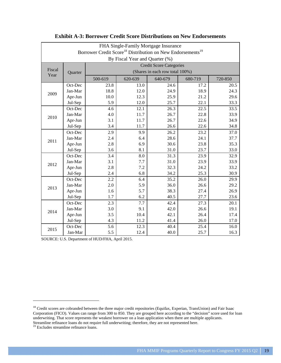| FHA Single-Family Mortgage Insurance                                               |                                |         |                                 |         |         |         |  |  |  |
|------------------------------------------------------------------------------------|--------------------------------|---------|---------------------------------|---------|---------|---------|--|--|--|
| Borrower Credit Score <sup>18</sup> Distribution on New Endorsements <sup>19</sup> |                                |         |                                 |         |         |         |  |  |  |
| By Fiscal Year and Quarter (%)                                                     |                                |         |                                 |         |         |         |  |  |  |
|                                                                                    | <b>Credit Score Categories</b> |         |                                 |         |         |         |  |  |  |
| Fiscal                                                                             | Quarter                        |         | (Shares in each row total 100%) |         |         |         |  |  |  |
| Year                                                                               |                                | 500-619 | 620-639                         | 640-679 | 680-719 | 720-850 |  |  |  |
|                                                                                    | Oct-Dec                        | 23.8    | 13.0                            | 24.6    | 17.2    | 20.5    |  |  |  |
|                                                                                    | Jan-Mar                        | 18.8    | 12.0                            | 24.9    | 18.9    | 24.3    |  |  |  |
| 2009                                                                               | Apr-Jun                        | 10.0    | 12.3                            | 25.9    | 21.2    | 29.6    |  |  |  |
|                                                                                    | Jul-Sep                        | 5.9     | 12.0                            | 25.7    | 22.1    | 33.3    |  |  |  |
|                                                                                    | Oct-Dec                        | 4.6     | 12.1                            | 26.3    | 22.5    | 33.5    |  |  |  |
|                                                                                    | Jan-Mar                        | 4.0     | 11.7                            | 26.7    | 22.8    | 33.9    |  |  |  |
| 2010                                                                               | Apr-Jun                        | 3.1     | 11.7                            | 26.7    | 22.6    | 34.9    |  |  |  |
|                                                                                    | Jul-Sep                        | 3.4     | 11.7                            | 26.6    | 22.6    | 34.8    |  |  |  |
|                                                                                    | Oct-Dec                        | 2.9     | 9.9                             | 26.2    | 23.2    | 37.0    |  |  |  |
| 2011                                                                               | Jan-Mar                        | 2.4     | 6.4                             | 28.6    | 24.1    | 37.7    |  |  |  |
|                                                                                    | Apr-Jun                        | 2.8     | 6.9                             | 30.6    | 23.8    | 35.3    |  |  |  |
|                                                                                    | Jul-Sep                        | 3.6     | 8.1                             | 31.0    | 23.7    | 33.0    |  |  |  |
|                                                                                    | Oct-Dec                        | 3.4     | 8.0                             | 31.3    | 23.9    | 32.9    |  |  |  |
| 2012                                                                               | Jan-Mar                        | 3.1     | 7.7                             | 31.0    | 23.9    | 33.9    |  |  |  |
|                                                                                    | Apr-Jun                        | 2.8     | 7.2                             | 32.3    | 24.2    | 33.2    |  |  |  |
|                                                                                    | Jul-Sep                        | 2.4     | 6.8                             | 34.2    | 25.3    | 30.9    |  |  |  |
|                                                                                    | Oct-Dec                        | 2.2     | 6.4                             | 35.2    | 26.0    | 29.9    |  |  |  |
| 2013                                                                               | Jan-Mar                        | 2.0     | 5.9                             | 36.0    | 26.6    | 29.2    |  |  |  |
|                                                                                    | Apr-Jun                        | 1.6     | 5.7                             | 38.3    | 27.4    | 26.9    |  |  |  |
|                                                                                    | Jul-Sep                        | 1.7     | 6.2                             | 40.5    | 27.7    | 23.6    |  |  |  |
|                                                                                    | Oct-Dec                        | 2.3     | 7.7                             | 42.4    | 27.3    | 20.1    |  |  |  |
| 2014                                                                               | Jan-Mar                        | 3.0     | 9.1                             | 42.0    | 26.6    | 19.1    |  |  |  |
|                                                                                    | Apr-Jun                        | 3.5     | 10.4                            | 42.1    | 26.4    | 17.4    |  |  |  |
|                                                                                    | Jul-Sep                        | 4.3     | 11.2                            | 41.4    | 26.0    | 17.0    |  |  |  |
|                                                                                    | Oct-Dec                        | 5.6     | 12.3                            | 40.4    | 25.4    | 16.0    |  |  |  |
| 2015                                                                               | Jan-Mar                        | 5.5     | 12.4                            | 40.0    | 25.7    | 16.3    |  |  |  |

#### <span id="page-19-0"></span>**Exhibit A-3: Borrower Credit Score Distributions on New Endorsements**

<span id="page-19-1"></span><sup>&</sup>lt;sup>18</sup> Credit scores are cobranded between the three major credit repositories (Equifax, Experian, TransUnion) and Fair Isaac Corporation (FICO). Values can range from 300 to 850. They are grouped here according to the "decision" score used for loan underwriting. That score represents the weakest borrower on a loan application when there are multiple applicants. Streamline refinance loans do not require full underwriting; therefore, they are not represented here.

<span id="page-19-2"></span><sup>&</sup>lt;sup>19</sup> Excludes streamline refinance loans.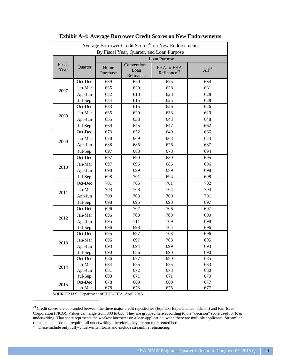| Average Borrower Credit Scores <sup>20</sup> on New Endorsements |         |                  |                                   |                                       |                   |  |  |  |
|------------------------------------------------------------------|---------|------------------|-----------------------------------|---------------------------------------|-------------------|--|--|--|
| By Fiscal Year, Quarter, and Loan Purpose                        |         |                  |                                   |                                       |                   |  |  |  |
|                                                                  |         | Loan Purpose     |                                   |                                       |                   |  |  |  |
| Fiscal<br>Year                                                   | Quarter | Home<br>Purchase | Conventional<br>Loan<br>Refinance | FHA-to-FHA<br>Refinance <sup>21</sup> | All <sup>25</sup> |  |  |  |
| 2007                                                             | Oct-Dec | 639              | 620                               | 625                                   | 634               |  |  |  |
|                                                                  | Jan-Mar | 635              | 620                               | 628                                   | 631               |  |  |  |
|                                                                  | Apr-Jun | 632              | 618                               | 628                                   | 628               |  |  |  |
|                                                                  | Jul-Sep | 634              | 615                               | 625                                   | 628               |  |  |  |
|                                                                  | Oct-Dec | 633              | 615                               | 626                                   | 626               |  |  |  |
| 2008                                                             | Jan-Mar | 635              | 620                               | 633                                   | 629               |  |  |  |
| 2009<br>2010                                                     | Apr-Jun | 655              | 638                               | 643                                   | 648               |  |  |  |
|                                                                  | Jul-Sep | 669              | 645                               | 647                                   | 662               |  |  |  |
|                                                                  | Oct-Dec | 673              | 652                               | 649                                   | 666               |  |  |  |
|                                                                  | Jan-Mar | 678              | 669                               | 663                                   | 674               |  |  |  |
|                                                                  | Apr-Jun | 688              | 685                               | 676                                   | 687               |  |  |  |
|                                                                  | Jul-Sep | 697              | 688                               | 678                                   | 694               |  |  |  |
|                                                                  | Oct-Dec | 697              | 690                               | 680                                   | 695               |  |  |  |
|                                                                  | Jan-Mar | 697              | 696                               | 686                                   | 696               |  |  |  |
|                                                                  | Apr-Jun | 698              | 699                               | 689                                   | 698               |  |  |  |
|                                                                  | Jul-Sep | 698              | 701                               | 694                                   | 698               |  |  |  |
| 2011                                                             | Oct-Dec | 701              | 705                               | 701                                   | 702               |  |  |  |
|                                                                  | Jan-Mar | 703              | 708                               | 704                                   | 704               |  |  |  |
|                                                                  | Apr-Jun | 700              | 703                               | 700                                   | 701               |  |  |  |
|                                                                  | Jul-Sep | 698              | 695                               | 698                                   | 697               |  |  |  |
|                                                                  | Oct-Dec | 696              | 702                               | 706                                   | 697               |  |  |  |
| 2012                                                             | Jan-Mar | 696              | 708                               | 709                                   | 699               |  |  |  |
|                                                                  | Apr-Jun | 695              | 711                               | 709                                   | 698               |  |  |  |
|                                                                  | Jul-Sep | 696              | 698                               | 704                                   | 696               |  |  |  |
|                                                                  | Oct-Dec | 695              | 697                               | 703                                   | 696               |  |  |  |
| 2013                                                             | Jan-Mar | 695              | 697                               | 703                                   | 695               |  |  |  |
|                                                                  | Apr-Jun | 693              | 694                               | 699                                   | 693               |  |  |  |
|                                                                  | Jul-Sep | 690              | 686                               | 690                                   | 690               |  |  |  |
|                                                                  | Oct-Dec | 686              | 677                               | 680                                   | 685               |  |  |  |
| 2014                                                             | Jan-Mar | 684              | 675                               | 675                                   | 683               |  |  |  |
|                                                                  | Apr-Jun | 681              | 672                               | 673                                   | 680               |  |  |  |
|                                                                  | Jul-Sep | 680              | 671                               | 671                                   | 679               |  |  |  |
| 2015                                                             | Oct-Dec | 678              | 669                               | 669                                   | 677               |  |  |  |
|                                                                  | Jan-Mar | 678              | 673                               | 675                                   | 677               |  |  |  |

#### <span id="page-20-0"></span>**Exhibit A-4: Average Borrower Credit Scores on New Endorsements**

<span id="page-20-1"></span><sup>&</sup>lt;sup>20</sup> Credit scores are cobranded between the three major credit repositories (Equifax, Experian, TransUnion) and Fair Isaac Corporation (FICO). Values can range from 300 to 850. They are grouped here according to the "decision" score used for loan underwriting. That score represents the weakest borrower on a loan application, when there are multiple applicants. Streamline refinance loans do not require full underwriting; therefore, they are not represented here.

<span id="page-20-2"></span> $21$  These include only fully-underwritten loans and exclude streamline refinancing.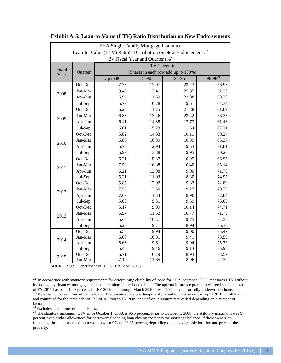| FHA Single-Family Mortgage Insurance                                                   |         |                                                       |       |       |       |  |  |  |
|----------------------------------------------------------------------------------------|---------|-------------------------------------------------------|-------|-------|-------|--|--|--|
| Loan-to-Value (LTV) Ratio <sup>22</sup> Distribution on New Endorsements <sup>23</sup> |         |                                                       |       |       |       |  |  |  |
| By Fiscal Year and Quarter (%)                                                         |         |                                                       |       |       |       |  |  |  |
| Fiscal<br>Year                                                                         |         | <b>LTV</b> Categories                                 |       |       |       |  |  |  |
|                                                                                        | Quarter | (Shares in each row add up to 100%)<br>$96 - 98^{24}$ |       |       |       |  |  |  |
|                                                                                        |         | Up to 80                                              | 81-90 | 91-95 |       |  |  |  |
| 2008                                                                                   | Oct-Dec | 7.78                                                  | 12.07 | 23.23 | 56.93 |  |  |  |
|                                                                                        | Jan-Mar | 8.48                                                  | 13.41 | 25.85 | 52.26 |  |  |  |
|                                                                                        | Apr-Jun | 6.94                                                  | 11.69 | 22.98 | 58.38 |  |  |  |
|                                                                                        | Jul-Sep | 5.77                                                  | 10.28 | 19.61 | 64.34 |  |  |  |
| 2009                                                                                   | Oct-Dec | 6.28                                                  | 11.25 | 21.38 | 61.09 |  |  |  |
|                                                                                        | Jan-Mar | 6.88                                                  | 13.46 | 23.42 | 56.23 |  |  |  |
|                                                                                        | Apr-Jun | 6.41                                                  | 14.38 | 17.73 | 61.48 |  |  |  |
|                                                                                        | Jul-Sep | 6.01                                                  | 15.23 | 11.54 | 67.21 |  |  |  |
|                                                                                        | Oct-Dec | 5.82                                                  | 14.83 | 10.11 | 69.24 |  |  |  |
| 2010                                                                                   | Jan-Mar | 6.86                                                  | 16.89 | 10.89 | 65.37 |  |  |  |
|                                                                                        | Apr-Jun | 5.73                                                  | 12.94 | 9.53  | 71.81 |  |  |  |
|                                                                                        | Jul-Sep | 5.97                                                  | 13.88 | 9.95  | 70.20 |  |  |  |
|                                                                                        | Oct-Dec | 6.21                                                  | 15.87 | 10.95 | 66.97 |  |  |  |
| 2011                                                                                   | Jan-Mar | 7.58                                                  | 16.88 | 10.40 | 65.14 |  |  |  |
|                                                                                        | Apr-Jun | 6.21                                                  | 13.08 | 9.00  | 71.70 |  |  |  |
|                                                                                        | Jul-Sep | 5.21                                                  | 11.03 | 8.80  | 74.97 |  |  |  |
|                                                                                        | Oct-Dec | 5.85                                                  | 12.02 | 9.33  | 72.80 |  |  |  |
| 2012                                                                                   | Jan-Mar | 7.52                                                  | 12.50 | 9.27  | 70.72 |  |  |  |
|                                                                                        | Apr-Jun | 7.67                                                  | 11.34 | 8.96  | 72.04 |  |  |  |
|                                                                                        | Jul-Sep | 5.08                                                  | 9.31  | 9.59  | 76.03 |  |  |  |
|                                                                                        | Oct-Dec | 5.17                                                  | 9.99  | 10.14 | 74.71 |  |  |  |
| 2013                                                                                   | Jan-Mar | 5.97                                                  | 11.52 | 10.77 | 71.73 |  |  |  |
|                                                                                        | Apr-Jun | 5.63                                                  | 10.27 | 9.75  | 74.35 |  |  |  |
|                                                                                        | Jul-Sep | 5.26                                                  | 9.71  | 8.94  | 76.10 |  |  |  |
| 2014                                                                                   | Oct-Dec | 5.58                                                  | 9.94  | 9.00  | 75.47 |  |  |  |
|                                                                                        | Jan-Mar | 6.08                                                  | 10.91 | 9.41  | 73.59 |  |  |  |
|                                                                                        | Apr-Jun | 5.63                                                  | 9.61  | 9.04  | 75.72 |  |  |  |
|                                                                                        | Jul-Sep | 5.46                                                  | 9.46  | 9.13  | 75.95 |  |  |  |
| 2015                                                                                   | Oct-Dec | 6.71                                                  | 10.79 | 8.93  | 73.57 |  |  |  |
|                                                                                        | Jan-Mar | 7.10                                                  | 11.65 | 8.96  | 72.29 |  |  |  |

#### <span id="page-21-0"></span>**Exhibit A-5: Loan-to-Value (LTV) Ratio Distribution on New Endorsements**

SOURCE: U.S. Department of HUD/FHA, April 2015.

<span id="page-21-2"></span><sup>23</sup> Excludes streamline refinance loans.

<span id="page-21-1"></span><sup>&</sup>lt;sup>22</sup> In accordance with statutory requirements for determining eligibility of loans for FHA insurance, HUD measures LTV without including any financed mortgage insurance premium in the loan balance. The upfront insurance premium charged since the start of FY 2011 has been 1.00 percent; for FY 2009 and through March 2010 it was 1.75 percent for fully-underwritten loans and 1.50 percent on streamline refinance loans. The premium rate was temporarily raised to 2.25 percent in April 2010 for all loans and continued for the remainder of FY 2010. Prior to FY 2009, the upfront premium rate varied depending on a number of factors.

<sup>&</sup>lt;sup>24</sup> The statutory maximum LTV since October 1, 2008, is 96.5 percent. Prior to October 1, 2008, the statutory maximum was 97 percent, with higher allowances for borrowers financing loan closing costs into the mortgage balance. If there were such financing, the statutory maximum was between 97 and 98.15 percent, depending on the geographic location and price of the property.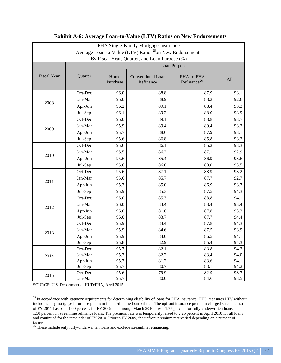| FHA Single-Family Mortgage Insurance                                 |         |                  |                                |                                       |      |  |  |
|----------------------------------------------------------------------|---------|------------------|--------------------------------|---------------------------------------|------|--|--|
| Average Loan-to-Value (LTV) Ratios <sup>25</sup> on New Endorsements |         |                  |                                |                                       |      |  |  |
| By Fiscal Year, Quarter, and Loan Purpose (%)                        |         |                  |                                |                                       |      |  |  |
|                                                                      |         | Loan Purpose     |                                |                                       |      |  |  |
| <b>Fiscal Year</b>                                                   | Quarter | Home<br>Purchase | Conventional Loan<br>Refinance | FHA-to-FHA<br>Refinance <sup>26</sup> | All  |  |  |
|                                                                      | Oct-Dec | 96.0             | 88.8                           | 87.9                                  | 93.1 |  |  |
|                                                                      | Jan-Mar | 96.0             | 88.9                           | 88.3                                  | 92.6 |  |  |
| 2008                                                                 | Apr-Jun | 96.2             | 89.1                           | 88.4                                  | 93.3 |  |  |
|                                                                      | Jul-Sep | 96.1             | 89.2                           | 88.0                                  | 93.9 |  |  |
|                                                                      | Oct-Dec | 96.0             | 89.1                           | 88.8                                  | 93.7 |  |  |
|                                                                      | Jan-Mar | 95.9             | 89.4                           | 89.4                                  | 93.2 |  |  |
| 2009                                                                 | Apr-Jun | 95.7             | 88.6                           | 87.9                                  | 93.1 |  |  |
|                                                                      | Jul-Sep | 95.6             | 86.8                           | 85.8                                  | 93.2 |  |  |
|                                                                      | Oct-Dec | 95.6             | 86.1                           | 85.2                                  | 93.3 |  |  |
|                                                                      | Jan-Mar | 95.5             | 86.2                           | 87.1                                  | 92.9 |  |  |
| 2010                                                                 | Apr-Jun | 95.6             | 85.4                           | 86.9                                  | 93.6 |  |  |
|                                                                      | Jul-Sep | 95.6             | 86.0                           | 88.0                                  | 93.5 |  |  |
|                                                                      | Oct-Dec | 95.6             | 87.1                           | 88.9                                  | 93.2 |  |  |
|                                                                      | Jan-Mar | 95.6             | 85.7                           | 87.7                                  | 92.7 |  |  |
| 2011                                                                 | Apr-Jun | 95.7             | 85.0                           | 86.9                                  | 93.7 |  |  |
|                                                                      | Jul-Sep | 95.9             | 85.3                           | 87.5                                  | 94.3 |  |  |
|                                                                      | Oct-Dec | 96.0             | 85.3                           | 88.8                                  | 94.1 |  |  |
| 2012                                                                 | Jan-Mar | 96.0             | 83.4                           | 88.4                                  | 93.4 |  |  |
|                                                                      | Apr-Jun | 96.0             | 81.8                           | 87.8                                  | 93.3 |  |  |
|                                                                      | Jul-Sep | 96.0             | 83.7                           | 87.7                                  | 94.4 |  |  |
|                                                                      | Oct-Dec | 95.9             | 84.4                           | 87.8                                  | 94.3 |  |  |
| 2013                                                                 | Jan-Mar | 95.9             | 84.6                           | 87.5                                  | 93.9 |  |  |
|                                                                      | Apr-Jun | 95.9             | 84.0                           | 86.5                                  | 94.1 |  |  |
|                                                                      | Jul-Sep | 95.8             | 82.9                           | 85.4                                  | 94.3 |  |  |
|                                                                      | Oct-Dec | 95.7             | 82.1                           | 83.8                                  | 94.2 |  |  |
| 2014                                                                 | Jan-Mar | 95.7             | 82.2                           | 83.4                                  | 94.0 |  |  |
|                                                                      | Apr-Jun | 95.7             | 81.2                           | 83.6                                  | 94.1 |  |  |
|                                                                      | Jul-Sep | 95.7             | 80.7                           | 83.1                                  | 94.2 |  |  |
| 2015                                                                 | Oct-Dec | 95.6             | 79.9                           | 82.9                                  | 93.7 |  |  |
|                                                                      | Jan-Mar | 95.7             | $80.0\,$                       | 84.6                                  | 93.5 |  |  |

#### <span id="page-22-0"></span>**Exhibit A-6: Average Loan-to-Value (LTV) Ratios on New Endorsements**

<span id="page-22-1"></span><sup>&</sup>lt;sup>25</sup> In accordance with statutory requirements for determining eligibility of loans for FHA insurance, HUD measures LTV without including any mortgage insurance premium financed in the loan balance. The upfront insurance premium charged since the start of FY 2011 has been 1.00 percent; for FY 2009 and through March 2010 it was 1.75 percent for fully-underwritten loans and 1.50 percent on streamline refinance loans. The premium rate was temporarily raised to 2.25 percent in April 2010 for all loans and continued for the remainder of FY 2010. Prior to FY 2009, the upfront premium rate varied depending on a number of factors.

<span id="page-22-2"></span> $26$  These include only fully-underwritten loans and exclude streamline refinancing.